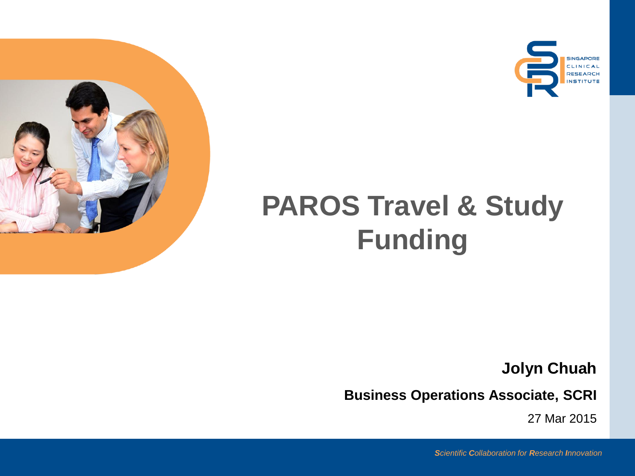





## **PAROS Travel & Study Funding**

**Jolyn Chuah** 

**Business Operations Associate, SCRI** 

27 Mar 2015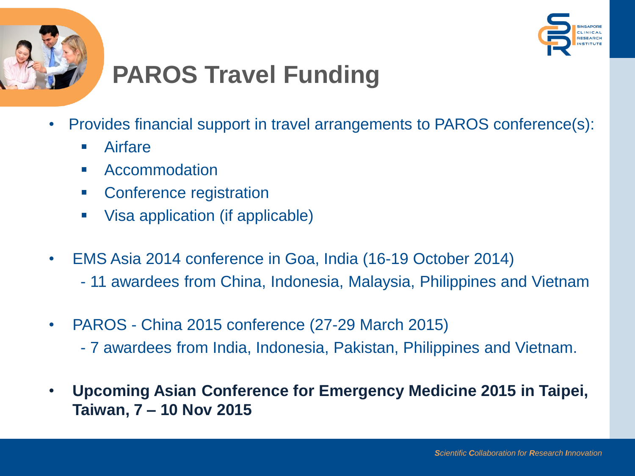



## **PAROS Travel Funding**

- Provides financial support in travel arrangements to PAROS conference(s):
	- **Airfare**
	- Accommodation
	- Conference registration
	- Visa application (if applicable)
- EMS Asia 2014 conference in Goa, India (16-19 October 2014)
	- 11 awardees from China, Indonesia, Malaysia, Philippines and Vietnam
- PAROS China 2015 conference (27-29 March 2015)
	- 7 awardees from India, Indonesia, Pakistan, Philippines and Vietnam.
- **Upcoming Asian Conference for Emergency Medicine 2015 in Taipei, Taiwan, 7 – 10 Nov 2015**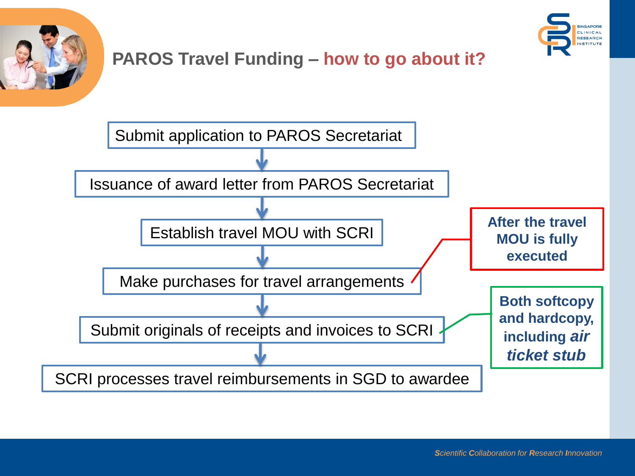



## **PAROS Travel Funding - how to go about it?**

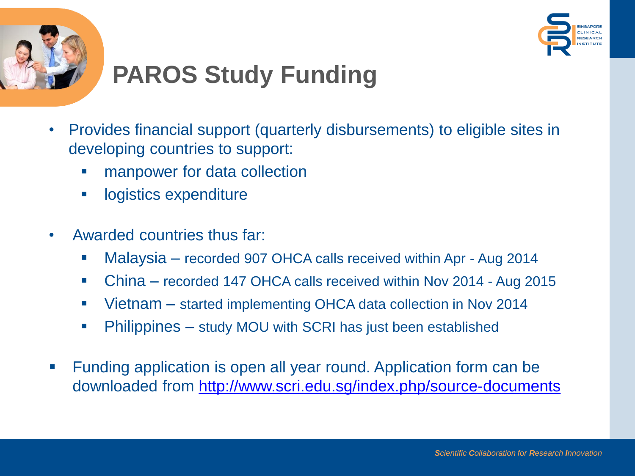



## **PAROS Study Funding**

- Provides financial support (quarterly disbursements) to eligible sites in developing countries to support:
	- manpower for data collection
	- **-** logistics expenditure
- Awarded countries thus far:
	- Malaysia recorded 907 OHCA calls received within Apr Aug 2014
	- China recorded 147 OHCA calls received within Nov 2014 Aug 2015
	- Vietnam started implementing OHCA data collection in Nov 2014
	- Philippines study MOU with SCRI has just been established
- Funding application is open all year round. Application form can be downloaded from<http://www.scri.edu.sg/index.php/source-documents>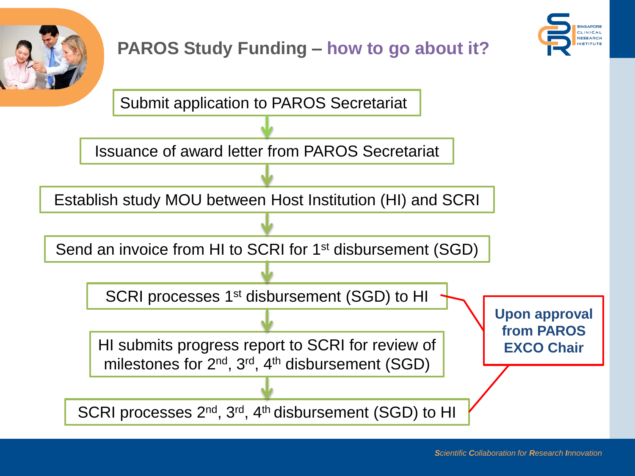